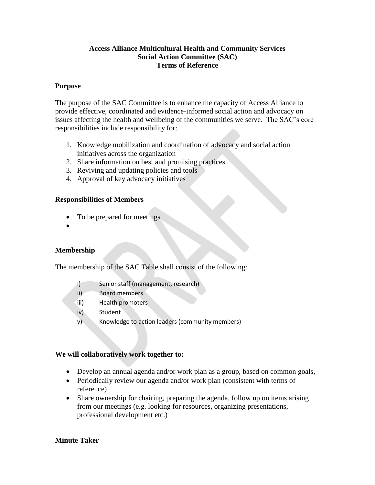#### **Access Alliance Multicultural Health and Community Services Social Action Committee (SAC) Terms of Reference**

#### **Purpose**

The purpose of the SAC Committee is to enhance the capacity of Access Alliance to provide effective, coordinated and evidence-informed social action and advocacy on issues affecting the health and wellbeing of the communities we serve. The SAC's core responsibilities include responsibility for:

- 1. Knowledge mobilization and coordination of advocacy and social action initiatives across the organization
- 2. Share information on best and promising practices
- 3. Reviving and updating policies and tools
- 4. Approval of key advocacy initiatives

#### **Responsibilities of Members**

- To be prepared for meetings
- $\bullet$

## **Membership**

The membership of the SAC Table shall consist of the following:

- i) Senior staff (management, research)
- ii) Board members
- iii) Health promoters
- iv) Student
- v) Knowledge to action leaders (community members)

## **We will collaboratively work together to:**

- Develop an annual agenda and/or work plan as a group, based on common goals,
- Periodically review our agenda and/or work plan (consistent with terms of reference)
- Share ownership for chairing, preparing the agenda, follow up on items arising from our meetings (e.g. looking for resources, organizing presentations, professional development etc.)

## **Minute Taker**